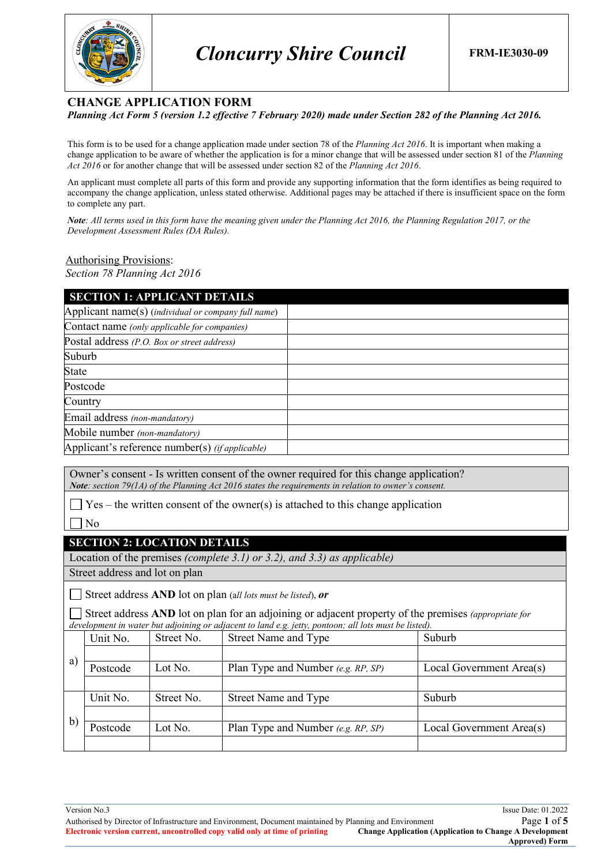

*Cloncurry Shire Council* **FRM-IE3030-09**

## **CHANGE APPLICATION FORM**

#### *Planning Act Form 5 (version 1.2 effective 7 February 2020) made under Section 282 of the Planning Act 2016.*

This form is to be used for a change application made under section 78 of the *Planning Act 2016*. It is important when making a change application to be aware of whether the application is for a minor change that will be assessed under section 81 of the *Planning Act 2016* or for another change that will be assessed under section 82 of the *Planning Act 2016*.

An applicant must complete all parts of this form and provide any supporting information that the form identifies as being required to accompany the change application, unless stated otherwise. Additional pages may be attached if there is insufficient space on the form to complete any part.

*Note: All terms used in this form have the meaning given under the Planning Act 2016, the Planning Regulation 2017, or the Development Assessment Rules (DA Rules).*

#### Authorising Provisions:

*Section 78 Planning Act 2016*

| <b>SECTION 1: APPLICANT DETAILS</b>                      |  |
|----------------------------------------------------------|--|
| Applicant name(s) (individual or company full name)      |  |
| Contact name (only applicable for companies)             |  |
| Postal address (P.O. Box or street address)              |  |
| Suburb                                                   |  |
| <b>State</b>                                             |  |
| Postcode                                                 |  |
| Country                                                  |  |
| Email address (non-mandatory)                            |  |
| Mobile number (non-mandatory)                            |  |
| Applicant's reference number(s) ( <i>if applicable</i> ) |  |

Owner's consent - Is written consent of the owner required for this change application? *Note: section 79(1A) of the Planning Act 2016 states the requirements in relation to owner's consent.*

 $Yes$  – the written consent of the owner(s) is attached to this change application

 $\Box$  No

## **SECTION 2: LOCATION DETAILS**

Location of the premises *(complete 3.1) or 3.2), and 3.3) as applicable)*

Street address and lot on plan

Street address **AND** lot on plan (a*ll lots must be listed*), *or*

Street address **AND** lot on plan for an adjoining or adjacent property of the premises *(appropriate for development in water but adjoining or adjacent to land e.g. jetty, pontoon; all lots must be listed).*

|              | Unit No. | Street No. | <b>Street Name and Type</b>        | Suburb                   |
|--------------|----------|------------|------------------------------------|--------------------------|
|              |          |            |                                    |                          |
| a)           | Postcode | Lot No.    | Plan Type and Number (e.g. RP, SP) | Local Government Area(s) |
|              |          |            |                                    |                          |
|              | Unit No. | Street No. | <b>Street Name and Type</b>        | Suburb                   |
| $\mathbf{b}$ |          |            |                                    |                          |
|              | Postcode | Lot No.    | Plan Type and Number (e.g. RP, SP) | Local Government Area(s) |
|              |          |            |                                    |                          |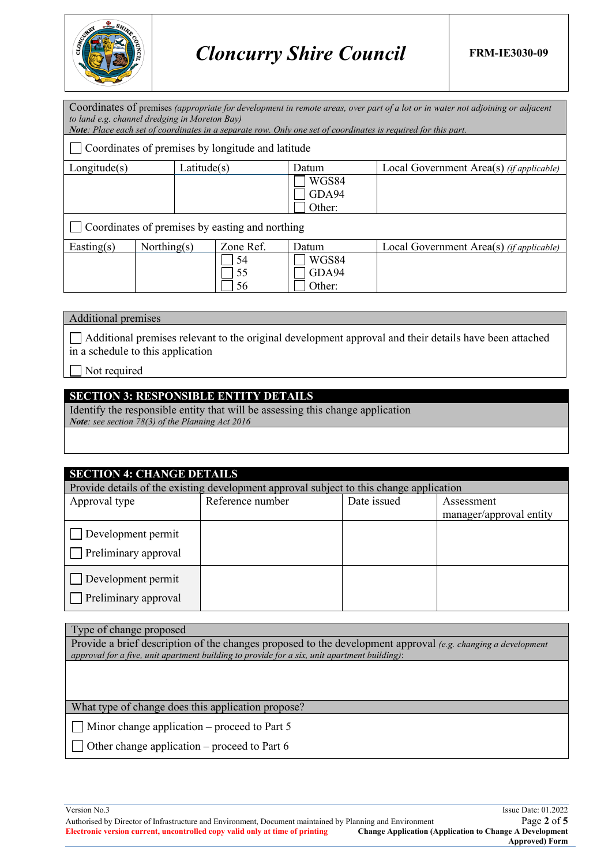

# *Cloncurry Shire Council* **FRM-IE3030-09**

Coordinates of premises *(appropriate for development in remote areas, over part of a lot or in water not adjoining or adjacent to land e.g. channel dredging in Moreton Bay)*

*Note: Place each set of coordinates in a separate row. Only one set of coordinates is required for this part.*

Coordinates of premises by longitude and latitude

| Longitude(s) | atitude(s) | Datum  | Local Government Area(s) (if applicable) |
|--------------|------------|--------|------------------------------------------|
|              |            | WGS84  |                                          |
|              |            | GDA94  |                                          |
|              |            | Other: |                                          |

□ Coordinates of premises by easting and northing

| Easting $(s)$ | Northing $(s)$ | Zone Ref. | Datum  | Local Government Area(s) (if applicable) |
|---------------|----------------|-----------|--------|------------------------------------------|
|               |                | 54        | WGS84  |                                          |
|               |                |           | GDA94  |                                          |
|               |                | эb        | Other: |                                          |

#### Additional premises

Additional premises relevant to the original development approval and their details have been attached in a schedule to this application

Not required

## **SECTION 3: RESPONSIBLE ENTITY DETAILS**

Identify the responsible entity that will be assessing this change application *Note: see section 78(3) of the Planning Act 2016*

| <b>SECTION 4: CHANGE DETAILS</b> |                                                                                         |             |                         |
|----------------------------------|-----------------------------------------------------------------------------------------|-------------|-------------------------|
|                                  | Provide details of the existing development approval subject to this change application |             |                         |
| Approval type                    | Reference number                                                                        | Date issued | Assessment              |
|                                  |                                                                                         |             | manager/approval entity |
| Development permit               |                                                                                         |             |                         |
| Preliminary approval             |                                                                                         |             |                         |
| $\Box$ Development permit        |                                                                                         |             |                         |
| Preliminary approval             |                                                                                         |             |                         |

| Type of change proposed                                                                                        |
|----------------------------------------------------------------------------------------------------------------|
| Provide a brief description of the changes proposed to the development approval $(e.g. changing a development$ |
| approval for a five, unit apartment building to provide for a six, unit apartment building):                   |
|                                                                                                                |
|                                                                                                                |
|                                                                                                                |
|                                                                                                                |
| What type of change does this application propose?                                                             |
|                                                                                                                |
| Minor change application – proceed to Part $5$                                                                 |
|                                                                                                                |
| Other change application – proceed to Part $6$                                                                 |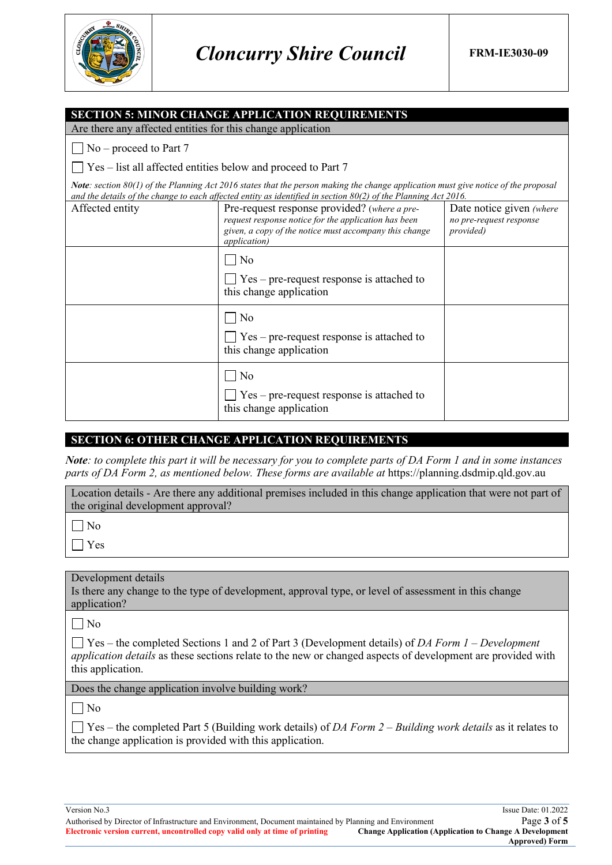

| <b>SECTION 5: MINOR CHANGE APPLICATION REQUIREMENTS</b>     |                                                                                                                                                                                                                                                                    |  |  |  |
|-------------------------------------------------------------|--------------------------------------------------------------------------------------------------------------------------------------------------------------------------------------------------------------------------------------------------------------------|--|--|--|
| Are there any affected entities for this change application |                                                                                                                                                                                                                                                                    |  |  |  |
| $No$ – proceed to Part 7                                    |                                                                                                                                                                                                                                                                    |  |  |  |
|                                                             | Yes – list all affected entities below and proceed to Part 7                                                                                                                                                                                                       |  |  |  |
|                                                             | Note: section $80(1)$ of the Planning Act 2016 states that the person making the change application must give notice of the proposal<br>and the details of the change to each affected entity as identified in section $80(2)$ of the Planning Act 2016.           |  |  |  |
| Affected entity                                             | Pre-request response provided? (where a pre-<br>Date notice given (where<br>request response notice for the application has been<br>no pre-request response<br>given, a copy of the notice must accompany this change<br><i>provided</i> )<br><i>application</i> ) |  |  |  |
|                                                             | No<br>$\blacksquare$ Yes – pre-request response is attached to<br>this change application                                                                                                                                                                          |  |  |  |
|                                                             | No<br>$\Box$ Yes – pre-request response is attached to<br>this change application                                                                                                                                                                                  |  |  |  |
|                                                             | No<br>$\gamma$ Yes – pre-request response is attached to<br>this change application                                                                                                                                                                                |  |  |  |

### **SECTION 6: OTHER CHANGE APPLICATION REQUIREMENTS**

*Note: to complete this part it will be necessary for you to complete parts of DA Form 1 and in some instances parts of DA Form 2, as mentioned below. These forms are available at https://planning.dsdmip.qld.gov.au* 

| baris of DA I orm 2, as mentioned below. These forms are available at https://pialililiig.usulilip.qiu.gov.au                                                                                                                                     |
|---------------------------------------------------------------------------------------------------------------------------------------------------------------------------------------------------------------------------------------------------|
| Location details - Are there any additional premises included in this change application that were not part of<br>the original development approval?                                                                                              |
| No                                                                                                                                                                                                                                                |
| Yes                                                                                                                                                                                                                                               |
|                                                                                                                                                                                                                                                   |
| Development details                                                                                                                                                                                                                               |
| Is there any change to the type of development, approval type, or level of assessment in this change<br>application?                                                                                                                              |
| N <sub>o</sub>                                                                                                                                                                                                                                    |
| $\Box$ Yes – the completed Sections 1 and 2 of Part 3 (Development details) of <i>DA Form 1 – Development</i><br>application details as these sections relate to the new or changed aspects of development are provided with<br>this application. |
| Does the change application involve building work?                                                                                                                                                                                                |
| No                                                                                                                                                                                                                                                |

Yes – the completed Part 5 (Building work details) of *DA Form 2 – Building work details* as it relates to the change application is provided with this application.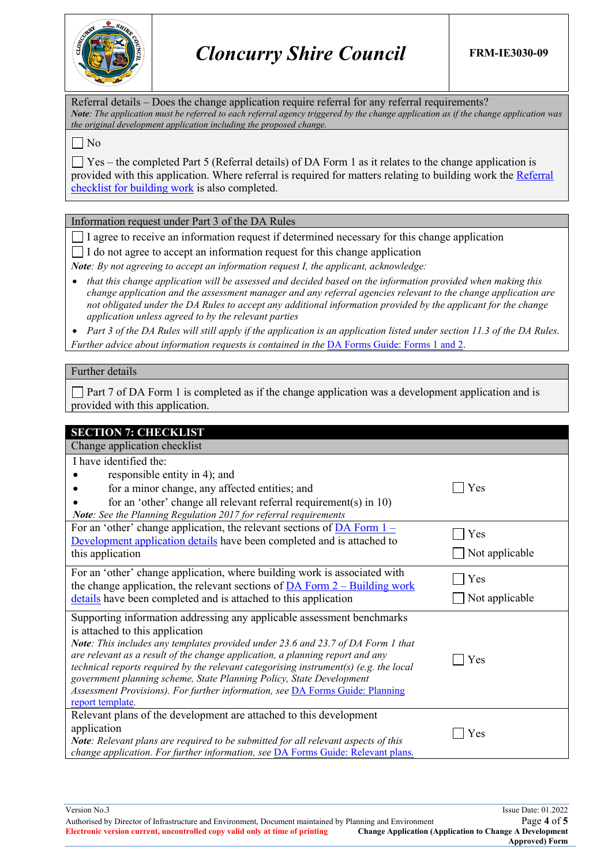

Referral details – Does the change application require referral for any referral requirements? *Note: The application must be referred to each referral agency triggered by the change application as if the change application was the original development application including the proposed change.*

 $\Box$  No

 $\Box$  Yes – the completed Part 5 (Referral details) of DA Form 1 as it relates to the change application is provided with this application. Where referral is required for matters relating to building work the [Referral](https://dilgpprd.blob.core.windows.net/general/DAForm2-Referralchecklistforbuildingwork.docx)  [checklist for building work](https://dilgpprd.blob.core.windows.net/general/DAForm2-Referralchecklistforbuildingwork.docx) is also completed.

#### Information request under Part 3 of the DA Rules

 $\Box$  I agree to receive an information request if determined necessary for this change application

 $\Box$  I do not agree to accept an information request for this change application

- *Note: By not agreeing to accept an information request I, the applicant, acknowledge:*
- *that this change application will be assessed and decided based on the information provided when making this change application and the assessment manager and any referral agencies relevant to the change application are not obligated under the DA Rules to accept any additional information provided by the applicant for the change application unless agreed to by the relevant parties*

• *Part 3 of the DA Rules will still apply if the application is an application listed under section 11.3 of the DA Rules. Further advice about information requests is contained in the [DA Forms Guide: Forms 1 and 2.](https://dilgpprd.blob.core.windows.net/general/guide-da-forms.pdf)* 

#### Further details

 $\Box$  Part 7 of DA Form 1 is completed as if the change application was a development application and is provided with this application.

| <b>SECTION 7: CHECKLIST</b>                                                                                                                                                                                                                                                                                                                                                                                                                                                                                                                                 |                |
|-------------------------------------------------------------------------------------------------------------------------------------------------------------------------------------------------------------------------------------------------------------------------------------------------------------------------------------------------------------------------------------------------------------------------------------------------------------------------------------------------------------------------------------------------------------|----------------|
| Change application checklist                                                                                                                                                                                                                                                                                                                                                                                                                                                                                                                                |                |
| I have identified the:                                                                                                                                                                                                                                                                                                                                                                                                                                                                                                                                      |                |
| responsible entity in 4); and                                                                                                                                                                                                                                                                                                                                                                                                                                                                                                                               |                |
| for a minor change, any affected entities; and                                                                                                                                                                                                                                                                                                                                                                                                                                                                                                              | Yes            |
| for an 'other' change all relevant referral requirement(s) in $10$ )                                                                                                                                                                                                                                                                                                                                                                                                                                                                                        |                |
| Note: See the Planning Regulation 2017 for referral requirements                                                                                                                                                                                                                                                                                                                                                                                                                                                                                            |                |
| For an 'other' change application, the relevant sections of $\overline{DA}$ Form 1 –<br>Development application details have been completed and is attached to                                                                                                                                                                                                                                                                                                                                                                                              | Yes            |
| this application                                                                                                                                                                                                                                                                                                                                                                                                                                                                                                                                            | Not applicable |
| For an 'other' change application, where building work is associated with<br>the change application, the relevant sections of $\underline{DA}$ Form 2 – Building work                                                                                                                                                                                                                                                                                                                                                                                       | Yes            |
| details have been completed and is attached to this application                                                                                                                                                                                                                                                                                                                                                                                                                                                                                             | Not applicable |
| Supporting information addressing any applicable assessment benchmarks<br>is attached to this application<br>Note: This includes any templates provided under 23.6 and 23.7 of DA Form 1 that<br>are relevant as a result of the change application, a planning report and any<br>technical reports required by the relevant categorising instrument(s) (e.g. the local<br>government planning scheme, State Planning Policy, State Development<br>Assessment Provisions). For further information, see <b>DA Forms Guide: Planning</b><br>report template. | Yes            |
| Relevant plans of the development are attached to this development<br>application<br>Note: Relevant plans are required to be submitted for all relevant aspects of this<br>change application. For further information, see DA Forms Guide: Relevant plans.                                                                                                                                                                                                                                                                                                 | Yes            |

Version No.3 Issue Date: 01.2022 Authorised by Director of Infrastructure and Environment, Document maintained by Planning and Environment Page **4** of **5 Electronic version current, uncontrolled copy valid only at time of printing**